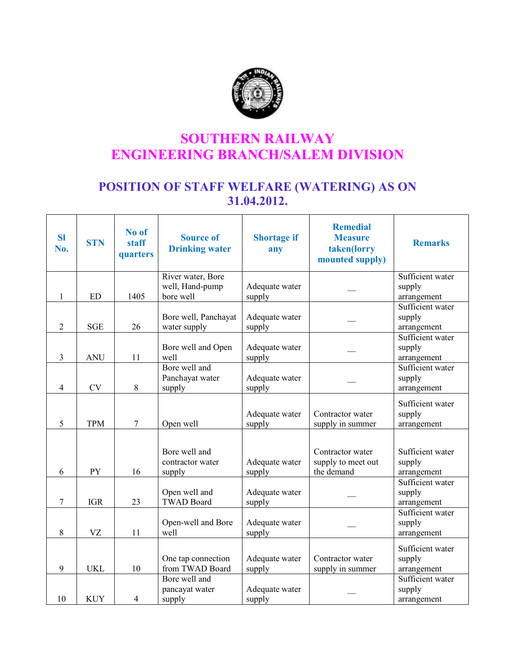

## SOUTHERN RAILWAY ENGINEERING BRANCH/SALEM DIVISION

## POSITION OF STAFF WELFARE (WATERING) AS ON 31.04.2012.

| <b>SI</b><br>No. | <b>STN</b> | No of<br>staff<br>quarters | <b>Source of</b><br><b>Drinking water</b>   | <b>Shortage if</b><br>any | <b>Remedial</b><br><b>Measure</b><br>taken(lorry<br>mounted supply) | <b>Remarks</b>                            |
|------------------|------------|----------------------------|---------------------------------------------|---------------------------|---------------------------------------------------------------------|-------------------------------------------|
|                  |            |                            | River water, Bore                           |                           |                                                                     | Sufficient water                          |
|                  |            |                            | well, Hand-pump                             | Adequate water            |                                                                     | supply                                    |
| 1                | <b>ED</b>  | 1405                       | bore well                                   | supply                    |                                                                     | arrangement<br>Sufficient water           |
| 2                | <b>SGE</b> | 26                         | Bore well, Panchayat<br>water supply        | Adequate water<br>supply  |                                                                     | supply<br>arrangement                     |
| 3                | <b>ANU</b> | 11                         | Bore well and Open<br>well                  | Adequate water<br>supply  |                                                                     | Sufficient water<br>supply<br>arrangement |
| $\overline{4}$   | <b>CV</b>  | 8                          | Bore well and<br>Panchayat water<br>supply  | Adequate water<br>supply  |                                                                     | Sufficient water<br>supply<br>arrangement |
| 5                | <b>TPM</b> | $\tau$                     | Open well                                   | Adequate water<br>supply  | Contractor water<br>supply in summer                                | Sufficient water<br>supply<br>arrangement |
| 6                | PY         | 16                         | Bore well and<br>contractor water<br>supply | Adequate water<br>supply  | Contractor water<br>supply to meet out<br>the demand                | Sufficient water<br>supply<br>arrangement |
| $\overline{7}$   | <b>IGR</b> | 23                         | Open well and<br><b>TWAD Board</b>          | Adequate water<br>supply  |                                                                     | Sufficient water<br>supply<br>arrangement |
| 8                | VZ         | 11                         | Open-well and Bore<br>well                  | Adequate water<br>supply  |                                                                     | Sufficient water<br>supply<br>arrangement |
| 9                | <b>UKL</b> | 10                         | One tap connection<br>from TWAD Board       | Adequate water<br>supply  | Contractor water<br>supply in summer                                | Sufficient water<br>supply<br>arrangement |
| 10               | <b>KUY</b> | $\overline{4}$             | Bore well and<br>pancayat water<br>supply   | Adequate water<br>supply  |                                                                     | Sufficient water<br>supply<br>arrangement |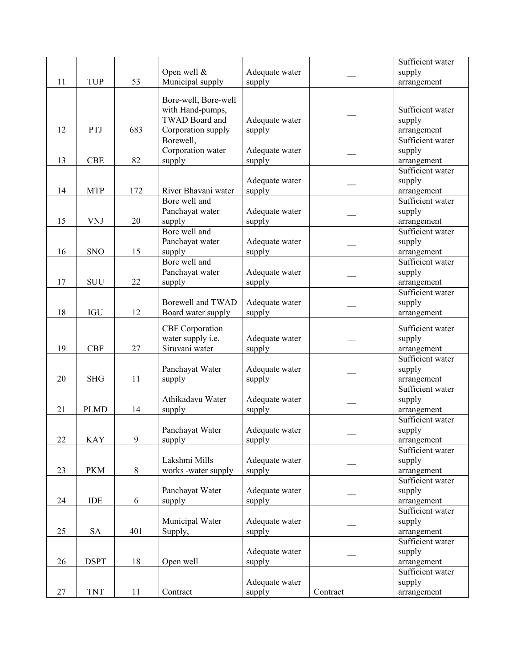|    |             |         |                        |                |          | Sufficient water |
|----|-------------|---------|------------------------|----------------|----------|------------------|
|    |             |         | Open well $\&$         | Adequate water |          | supply           |
| 11 | <b>TUP</b>  | 53      | Municipal supply       | supply         |          | arrangement      |
|    |             |         |                        |                |          |                  |
|    |             |         | Bore-well, Bore-well   |                |          |                  |
|    |             |         | with Hand-pumps,       |                |          | Sufficient water |
|    |             |         | <b>TWAD Board and</b>  | Adequate water |          | supply           |
| 12 | PTJ         | 683     | Corporation supply     | supply         |          | arrangement      |
|    |             |         |                        |                |          |                  |
|    |             |         | Borewell,              |                |          | Sufficient water |
|    |             |         | Corporation water      | Adequate water |          | supply           |
| 13 | <b>CBE</b>  | 82      | supply                 | supply         |          | arrangement      |
|    |             |         |                        |                |          | Sufficient water |
|    |             |         |                        | Adequate water |          | supply           |
| 14 | <b>MTP</b>  | 172     | River Bhavani water    | supply         |          | arrangement      |
|    |             |         | Bore well and          |                |          | Sufficient water |
|    |             |         | Panchayat water        | Adequate water |          | supply           |
| 15 | <b>VNJ</b>  | 20      |                        |                |          |                  |
|    |             |         | supply                 | supply         |          | arrangement      |
|    |             |         | Bore well and          |                |          | Sufficient water |
|    |             |         | Panchayat water        | Adequate water |          | supply           |
| 16 | <b>SNO</b>  | 15      | supply                 | supply         |          | arrangement      |
|    |             |         | Bore well and          |                |          | Sufficient water |
|    |             |         | Panchayat water        | Adequate water |          | supply           |
| 17 | <b>SUU</b>  | 22      | supply                 | supply         |          | arrangement      |
|    |             |         |                        |                |          | Sufficient water |
|    |             |         | Borewell and TWAD      | Adequate water |          | supply           |
|    |             |         |                        |                |          |                  |
| 18 | IGU         | 12      | Board water supply     | supply         |          | arrangement      |
|    |             |         | <b>CBF</b> Corporation |                |          | Sufficient water |
|    |             |         | water supply i.e.      | Adequate water |          | supply           |
| 19 | <b>CBF</b>  | 27      | Siruvani water         |                |          |                  |
|    |             |         |                        | supply         |          | arrangement      |
|    |             |         |                        |                |          | Sufficient water |
|    |             |         | Panchayat Water        | Adequate water |          | supply           |
| 20 | <b>SHG</b>  | 11      | supply                 | supply         |          | arrangement      |
|    |             |         |                        |                |          | Sufficient water |
|    |             |         | Athikadavu Water       | Adequate water |          | supply           |
| 21 | <b>PLMD</b> | 14      | supply                 | supply         |          | arrangement      |
|    |             |         |                        |                |          | Sufficient water |
|    |             |         | Panchayat Water        | Adequate water |          | supply           |
| 22 | <b>KAY</b>  | 9       | supply                 | supply         |          | arrangement      |
|    |             |         |                        |                |          | Sufficient water |
|    |             |         |                        |                |          |                  |
|    |             |         | Lakshmi Mills          | Adequate water |          | supply           |
| 23 | <b>PKM</b>  | $\,8\,$ | works -water supply    | supply         |          | arrangement      |
|    |             |         |                        |                |          | Sufficient water |
|    |             |         | Panchayat Water        | Adequate water |          | supply           |
| 24 | IDE         | 6       | supply                 | supply         |          | arrangement      |
|    |             |         |                        |                |          | Sufficient water |
|    |             |         | Municipal Water        | Adequate water |          | supply           |
| 25 | <b>SA</b>   | 401     | Supply,                | supply         |          | arrangement      |
|    |             |         |                        |                |          | Sufficient water |
|    |             |         |                        |                |          |                  |
|    |             |         |                        | Adequate water |          | supply           |
| 26 | <b>DSPT</b> | 18      | Open well              | supply         |          | arrangement      |
|    |             |         |                        |                |          | Sufficient water |
|    |             |         |                        | Adequate water |          | supply           |
| 27 | <b>TNT</b>  | 11      | Contract               | supply         | Contract | arrangement      |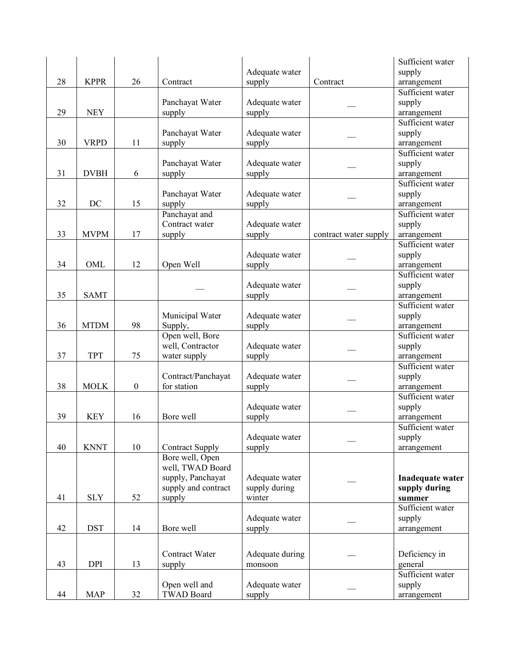|    |             |                  |                        |                 |                       | Sufficient water                |
|----|-------------|------------------|------------------------|-----------------|-----------------------|---------------------------------|
|    |             |                  |                        | Adequate water  |                       | supply                          |
| 28 | <b>KPPR</b> | 26               | Contract               | supply          | Contract              | arrangement                     |
|    |             |                  |                        |                 |                       | Sufficient water                |
|    |             |                  | Panchayat Water        | Adequate water  |                       | supply                          |
| 29 | <b>NEY</b>  |                  | supply                 | supply          |                       | arrangement                     |
|    |             |                  |                        |                 |                       | Sufficient water                |
|    |             |                  | Panchayat Water        | Adequate water  |                       | supply                          |
| 30 | <b>VRPD</b> | 11               | supply                 | supply          |                       | arrangement                     |
|    |             |                  |                        |                 |                       | Sufficient water                |
|    |             |                  | Panchayat Water        | Adequate water  |                       | supply                          |
| 31 | <b>DVBH</b> | 6                | supply                 | supply          |                       | arrangement                     |
|    |             |                  |                        |                 |                       | Sufficient water                |
|    |             |                  | Panchayat Water        | Adequate water  |                       | supply                          |
| 32 | DC          | 15               | supply                 | supply          |                       | arrangement                     |
|    |             |                  | Panchayat and          |                 |                       | Sufficient water                |
|    |             |                  | Contract water         | Adequate water  |                       |                                 |
| 33 | <b>MVPM</b> | 17               |                        | supply          |                       | supply                          |
|    |             |                  | supply                 |                 | contract water supply | arrangement<br>Sufficient water |
|    |             |                  |                        |                 |                       |                                 |
|    |             |                  |                        | Adequate water  |                       | supply                          |
| 34 | OML         | 12               | Open Well              | supply          |                       | arrangement                     |
|    |             |                  |                        |                 |                       | Sufficient water                |
|    |             |                  |                        | Adequate water  |                       | supply                          |
| 35 | <b>SAMT</b> |                  |                        | supply          |                       | arrangement                     |
|    |             |                  |                        |                 |                       | Sufficient water                |
|    |             |                  | Municipal Water        | Adequate water  |                       | supply                          |
| 36 | <b>MTDM</b> | 98               | Supply,                | supply          |                       | arrangement                     |
|    |             |                  | Open well, Bore        |                 |                       | Sufficient water                |
|    |             |                  | well, Contractor       | Adequate water  |                       | supply                          |
| 37 | <b>TPT</b>  | 75               | water supply           | supply          |                       | arrangement                     |
|    |             |                  |                        |                 |                       | Sufficient water                |
|    |             |                  | Contract/Panchayat     | Adequate water  |                       | supply                          |
| 38 | <b>MOLK</b> | $\boldsymbol{0}$ | for station            | supply          |                       | arrangement                     |
|    |             |                  |                        |                 |                       | Sufficient water                |
|    |             |                  |                        | Adequate water  |                       | supply                          |
| 39 | <b>KEY</b>  | 16               | Bore well              | supply          |                       | arrangement                     |
|    |             |                  |                        |                 |                       | Sufficient water                |
|    |             |                  |                        | Adequate water  |                       | supply                          |
| 40 | <b>KNNT</b> | 10               | <b>Contract Supply</b> | supply          |                       | arrangement                     |
|    |             |                  | Bore well, Open        |                 |                       |                                 |
|    |             |                  | well, TWAD Board       |                 |                       |                                 |
|    |             |                  | supply, Panchayat      | Adequate water  |                       | Inadequate water                |
|    |             |                  | supply and contract    | supply during   |                       | supply during                   |
| 41 | <b>SLY</b>  | 52               | supply                 | winter          |                       | summer                          |
|    |             |                  |                        |                 |                       | Sufficient water                |
|    |             |                  |                        | Adequate water  |                       | supply                          |
| 42 | <b>DST</b>  | 14               | Bore well              | supply          |                       | arrangement                     |
|    |             |                  |                        |                 |                       |                                 |
|    |             |                  |                        |                 |                       |                                 |
|    |             |                  | Contract Water         | Adequate during |                       | Deficiency in                   |
| 43 | $\rm DPI$   | 13               | supply                 | monsoon         |                       | general                         |
|    |             |                  |                        |                 |                       | Sufficient water                |
|    |             |                  | Open well and          | Adequate water  |                       | supply                          |
| 44 | <b>MAP</b>  | 32               | <b>TWAD Board</b>      | supply          |                       | arrangement                     |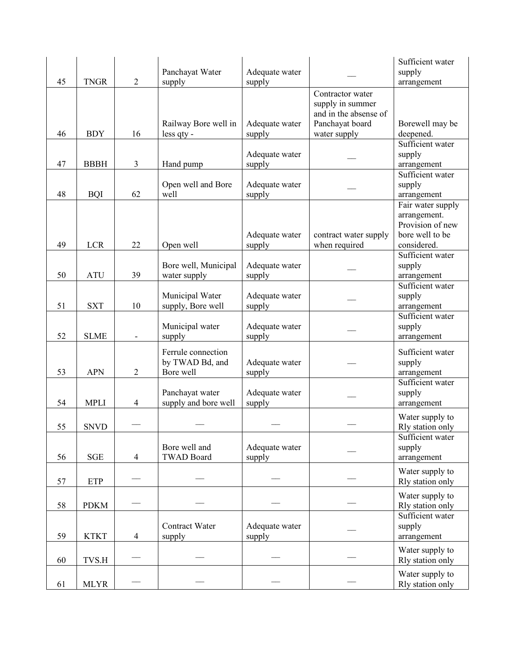|    |             |                |                      |                |                       | Sufficient water  |
|----|-------------|----------------|----------------------|----------------|-----------------------|-------------------|
|    |             |                | Panchayat Water      | Adequate water |                       | supply            |
| 45 | <b>TNGR</b> | $\overline{2}$ | supply               | supply         |                       | arrangement       |
|    |             |                |                      |                | Contractor water      |                   |
|    |             |                |                      |                | supply in summer      |                   |
|    |             |                |                      |                | and in the absense of |                   |
|    |             |                | Railway Bore well in | Adequate water | Panchayat board       | Borewell may be   |
| 46 | <b>BDY</b>  | 16             | less qty -           | supply         | water supply          | deepened.         |
|    |             |                |                      |                |                       | Sufficient water  |
|    |             |                |                      | Adequate water |                       | supply            |
| 47 | <b>BBBH</b> | $\mathfrak{Z}$ | Hand pump            | supply         |                       | arrangement       |
|    |             |                |                      |                |                       | Sufficient water  |
|    |             |                | Open well and Bore   | Adequate water |                       | supply            |
| 48 | <b>BQI</b>  | 62             | well                 | supply         |                       | arrangement       |
|    |             |                |                      |                |                       | Fair water supply |
|    |             |                |                      |                |                       | arrangement.      |
|    |             |                |                      |                |                       | Provision of new  |
|    |             |                |                      | Adequate water | contract water supply | bore well to be   |
| 49 | <b>LCR</b>  | 22             | Open well            | supply         | when required         | considered.       |
|    |             |                |                      |                |                       | Sufficient water  |
|    |             |                | Bore well, Municipal | Adequate water |                       | supply            |
| 50 | <b>ATU</b>  | 39             | water supply         | supply         |                       | arrangement       |
|    |             |                |                      |                |                       | Sufficient water  |
|    |             |                | Municipal Water      | Adequate water |                       | supply            |
| 51 | <b>SXT</b>  | 10             | supply, Bore well    | supply         |                       | arrangement       |
|    |             |                |                      |                |                       | Sufficient water  |
|    |             |                | Municipal water      | Adequate water |                       | supply            |
| 52 | <b>SLME</b> |                | supply               | supply         |                       | arrangement       |
|    |             |                | Ferrule connection   |                |                       | Sufficient water  |
|    |             |                | by TWAD Bd, and      | Adequate water |                       | supply            |
| 53 | <b>APN</b>  | $\overline{2}$ | Bore well            | supply         |                       | arrangement       |
|    |             |                |                      |                |                       | Sufficient water  |
|    |             |                | Panchayat water      | Adequate water |                       | supply            |
| 54 | <b>MPLI</b> | $\overline{4}$ | supply and bore well | supply         |                       | arrangement       |
|    |             |                |                      |                |                       | Water supply to   |
| 55 | <b>SNVD</b> |                |                      |                |                       | Rly station only  |
|    |             |                |                      |                |                       | Sufficient water  |
|    |             |                | Bore well and        | Adequate water |                       | supply            |
| 56 | <b>SGE</b>  | $\overline{4}$ | <b>TWAD Board</b>    | supply         |                       | arrangement       |
|    |             |                |                      |                |                       |                   |
|    |             |                |                      |                |                       | Water supply to   |
| 57 | <b>ETP</b>  |                |                      |                |                       | Rly station only  |
|    |             |                |                      |                |                       | Water supply to   |
| 58 | <b>PDKM</b> |                |                      |                |                       | Rly station only  |
|    |             |                |                      |                |                       | Sufficient water  |
|    |             |                | Contract Water       | Adequate water |                       | supply            |
| 59 | <b>KTKT</b> | $\overline{4}$ | supply               | supply         |                       | arrangement       |
|    |             |                |                      |                |                       | Water supply to   |
| 60 | TVS.H       |                |                      |                |                       | Rly station only  |
|    |             |                |                      |                |                       |                   |
|    |             |                |                      |                |                       | Water supply to   |
| 61 | <b>MLYR</b> |                |                      |                |                       | Rly station only  |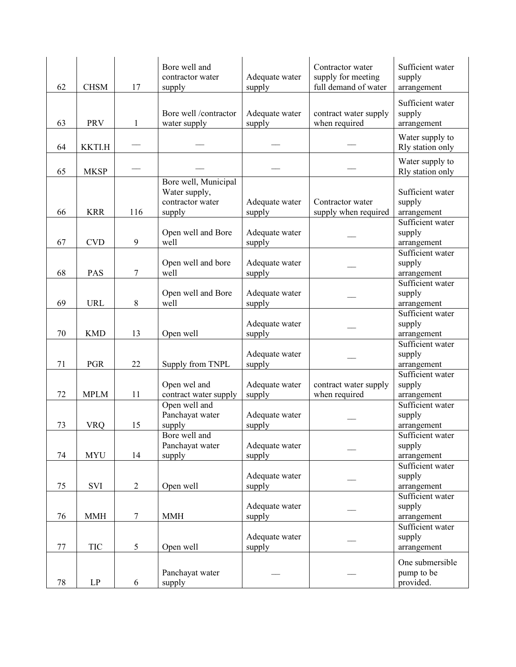| 62 | <b>CHSM</b>            | 17             | Bore well and<br>contractor water<br>supply                         | Adequate water<br>supply | Contractor water<br>supply for meeting<br>full demand of water | Sufficient water<br>supply<br>arrangement  |
|----|------------------------|----------------|---------------------------------------------------------------------|--------------------------|----------------------------------------------------------------|--------------------------------------------|
| 63 | <b>PRV</b>             | $\mathbf{1}$   | Bore well /contractor<br>water supply                               | Adequate water<br>supply | contract water supply<br>when required                         | Sufficient water<br>supply<br>arrangement  |
| 64 | <b>KKTI.H</b>          |                |                                                                     |                          |                                                                | Water supply to<br>Rly station only        |
| 65 | <b>MKSP</b>            |                |                                                                     |                          |                                                                | Water supply to<br>Rly station only        |
| 66 | <b>KRR</b>             | 116            | Bore well, Municipal<br>Water supply,<br>contractor water<br>supply | Adequate water<br>supply | Contractor water<br>supply when required                       | Sufficient water<br>supply<br>arrangement  |
| 67 | <b>CVD</b>             | 9              | Open well and Bore<br>well                                          | Adequate water<br>supply |                                                                | Sufficient water<br>supply<br>arrangement  |
| 68 | <b>PAS</b>             | 7              | Open well and bore<br>well                                          | Adequate water<br>supply |                                                                | Sufficient water<br>supply<br>arrangement  |
| 69 | <b>URL</b>             | 8              | Open well and Bore<br>well                                          | Adequate water<br>supply |                                                                | Sufficient water<br>supply<br>arrangement  |
| 70 | <b>KMD</b>             | 13             | Open well                                                           | Adequate water<br>supply |                                                                | Sufficient water<br>supply<br>arrangement  |
| 71 | <b>PGR</b>             | 22             | Supply from TNPL                                                    | Adequate water<br>supply |                                                                | Sufficient water<br>supply<br>arrangement  |
| 72 | <b>MPLM</b>            | 11             | Open wel and<br>contract water supply                               | Adequate water<br>supply | contract water supply<br>when required                         | Sufficient water<br>supply<br>arrangement  |
| 73 | <b>VRQ</b>             | 15             | Open well and<br>Panchayat water<br>supply                          | Adequate water<br>supply |                                                                | Sufficient water<br>supply<br>arrangement  |
| 74 | <b>MYU</b>             | 14             | Bore well and<br>Panchayat water<br>supply                          | Adequate water<br>supply |                                                                | Sufficient water<br>supply<br>arrangement  |
| 75 | SVI                    | $\overline{2}$ | Open well                                                           | Adequate water<br>supply |                                                                | Sufficient water<br>supply<br>arrangement  |
| 76 | <b>MMH</b>             | $\tau$         | <b>MMH</b>                                                          | Adequate water<br>supply |                                                                | Sufficient water<br>supply<br>arrangement  |
| 77 | TIC                    | 5              | Open well                                                           | Adequate water<br>supply |                                                                | Sufficient water<br>supply<br>arrangement  |
| 78 | $\mathbf{L}\mathbf{P}$ | 6              | Panchayat water<br>supply                                           |                          |                                                                | One submersible<br>pump to be<br>provided. |